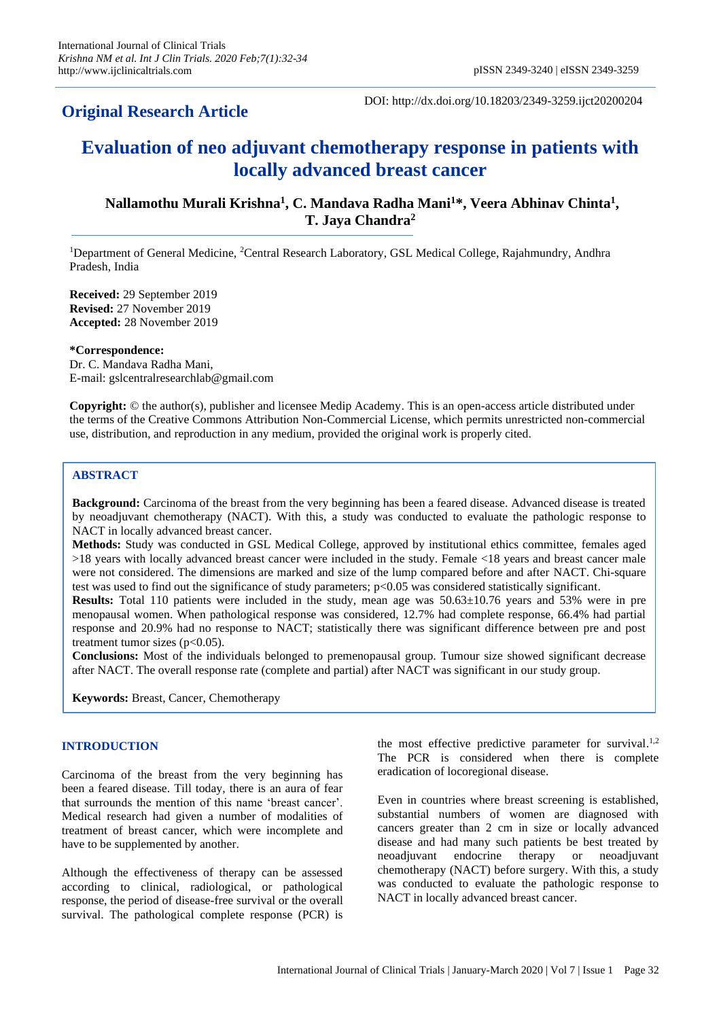# **Original Research Article**

DOI: http://dx.doi.org/10.18203/2349-3259.ijct20200204

# **Evaluation of neo adjuvant chemotherapy response in patients with locally advanced breast cancer**

**Nallamothu Murali Krishna<sup>1</sup> , C. Mandava Radha Mani<sup>1</sup>\*, Veera Abhinav Chinta<sup>1</sup> , T. Jaya Chandra<sup>2</sup>**

<sup>1</sup>Department of General Medicine, <sup>2</sup>Central Research Laboratory, GSL Medical College, Rajahmundry, Andhra Pradesh, India

**Received:** 29 September 2019 **Revised:** 27 November 2019 **Accepted:** 28 November 2019

**\*Correspondence:** Dr. C. Mandava Radha Mani, E-mail: gslcentralresearchlab@gmail.com

**Copyright:** © the author(s), publisher and licensee Medip Academy. This is an open-access article distributed under the terms of the Creative Commons Attribution Non-Commercial License, which permits unrestricted non-commercial use, distribution, and reproduction in any medium, provided the original work is properly cited.

## **ABSTRACT**

**Background:** Carcinoma of the breast from the very beginning has been a feared disease. Advanced disease is treated by neoadjuvant chemotherapy (NACT). With this, a study was conducted to evaluate the pathologic response to NACT in locally advanced breast cancer.

**Methods:** Study was conducted in GSL Medical College, approved by institutional ethics committee, females aged >18 years with locally advanced breast cancer were included in the study. Female <18 years and breast cancer male were not considered. The dimensions are marked and size of the lump compared before and after NACT. Chi-square test was used to find out the significance of study parameters; p<0.05 was considered statistically significant.

**Results:** Total 110 patients were included in the study, mean age was 50.63±10.76 years and 53% were in pre menopausal women. When pathological response was considered, 12.7% had complete response, 66.4% had partial response and 20.9% had no response to NACT; statistically there was significant difference between pre and post treatment tumor sizes ( $p<0.05$ ).

**Conclusions:** Most of the individuals belonged to premenopausal group. Tumour size showed significant decrease after NACT. The overall response rate (complete and partial) after NACT was significant in our study group.

**Keywords:** Breast, Cancer, Chemotherapy

#### **INTRODUCTION**

Carcinoma of the breast from the very beginning has been a feared disease. Till today, there is an aura of fear that surrounds the mention of this name 'breast cancer'. Medical research had given a number of modalities of treatment of breast cancer, which were incomplete and have to be supplemented by another.

Although the effectiveness of therapy can be assessed according to clinical, radiological, or pathological response, the period of disease-free survival or the overall survival. The pathological complete response (PCR) is

the most effective predictive parameter for survival.<sup>1,2</sup> The PCR is considered when there is complete eradication of locoregional disease.

Even in countries where breast screening is established, substantial numbers of women are diagnosed with cancers greater than 2 cm in size or locally advanced disease and had many such patients be best treated by neoadjuvant endocrine therapy or neoadjuvant chemotherapy (NACT) before surgery. With this, a study was conducted to evaluate the pathologic response to NACT in locally advanced breast cancer.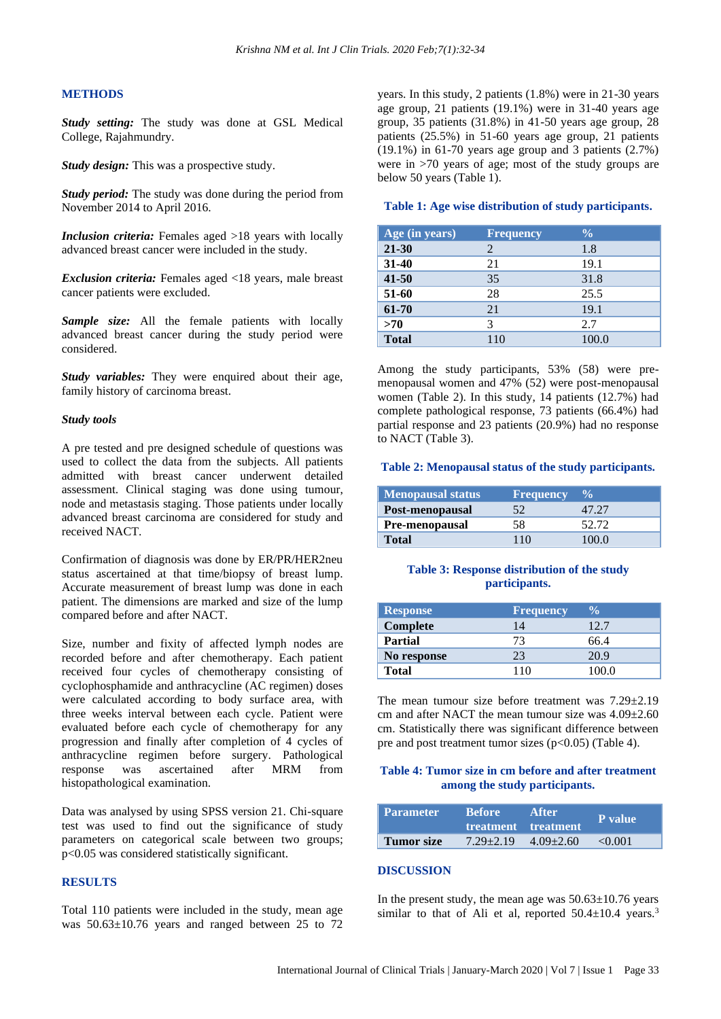#### **METHODS**

*Study setting:* The study was done at GSL Medical College, Rajahmundry.

*Study design:* This was a prospective study.

*Study period:* The study was done during the period from November 2014 to April 2016.

*Inclusion criteria:* Females aged >18 years with locally advanced breast cancer were included in the study.

*Exclusion criteria:* Females aged <18 years, male breast cancer patients were excluded.

*Sample size:* All the female patients with locally advanced breast cancer during the study period were considered.

*Study variables:* They were enquired about their age, family history of carcinoma breast.

#### *Study tools*

A pre tested and pre designed schedule of questions was used to collect the data from the subjects. All patients admitted with breast cancer underwent detailed assessment. Clinical staging was done using tumour, node and metastasis staging. Those patients under locally advanced breast carcinoma are considered for study and received NACT.

Confirmation of diagnosis was done by ER/PR/HER2neu status ascertained at that time/biopsy of breast lump. Accurate measurement of breast lump was done in each patient. The dimensions are marked and size of the lump compared before and after NACT.

Size, number and fixity of affected lymph nodes are recorded before and after chemotherapy. Each patient received four cycles of chemotherapy consisting of cyclophosphamide and anthracycline (AC regimen) doses were calculated according to body surface area, with three weeks interval between each cycle. Patient were evaluated before each cycle of chemotherapy for any progression and finally after completion of 4 cycles of anthracycline regimen before surgery. Pathological response was ascertained after MRM from histopathological examination.

Data was analysed by using SPSS version 21. Chi-square test was used to find out the significance of study parameters on categorical scale between two groups; p<0.05 was considered statistically significant.

# **RESULTS**

Total 110 patients were included in the study, mean age was 50.63±10.76 years and ranged between 25 to 72 years. In this study, 2 patients (1.8%) were in 21-30 years age group, 21 patients (19.1%) were in 31-40 years age group, 35 patients (31.8%) in 41-50 years age group, 28 patients (25.5%) in 51-60 years age group, 21 patients  $(19.1\%)$  in 61-70 years age group and 3 patients  $(2.7\%)$ were in >70 years of age; most of the study groups are below 50 years (Table 1).

#### **Table 1: Age wise distribution of study participants.**

| Age (in years) | <b>Frequency</b> | $\frac{6}{6}$ |
|----------------|------------------|---------------|
| $21 - 30$      | 2                | 1.8           |
| $31 - 40$      | 21               | 19.1          |
| $41 - 50$      | 35               | 31.8          |
| 51-60          | 28               | 25.5          |
| 61-70          | 21               | 19.1          |
| >70            | 3                | 2.7           |
| <b>Total</b>   | 110              | 100.0         |

Among the study participants, 53% (58) were premenopausal women and 47% (52) were post-menopausal women (Table 2). In this study, 14 patients (12.7%) had complete pathological response, 73 patients (66.4%) had partial response and 23 patients (20.9%) had no response to NACT (Table 3).

#### **Table 2: Menopausal status of the study participants.**

| Menopausal status | <b>Frequency</b> | $\frac{0}{2}$ |
|-------------------|------------------|---------------|
| Post-menopausal   | 52               | 47.27         |
| Pre-menopausal    | 58               | 52.72         |
| <b>Total</b>      | 110              | 100 O         |

#### **Table 3: Response distribution of the study participants.**

| <b>Response</b> | <b>Frequency</b> | $\frac{0}{\sqrt{2}}$ |
|-----------------|------------------|----------------------|
| Complete        | 14               | 12.7                 |
| <b>Partial</b>  | 73               | 66.4                 |
| No response     | 23               | 20.9                 |
| <b>Total</b>    | 110              | 100.0                |

The mean tumour size before treatment was  $7.29 \pm 2.19$ cm and after NACT the mean tumour size was 4.09±2.60 cm. Statistically there was significant difference between pre and post treatment tumor sizes ( $p<0.05$ ) (Table 4).

## **Table 4: Tumor size in cm before and after treatment among the study participants.**

| <b>Parameter</b> | <b>Before</b>               | After<br>treatment treatment | P value      |
|------------------|-----------------------------|------------------------------|--------------|
| Tumor size       | $7.29 + 2.19$ $4.09 + 2.60$ |                              | $\leq 0.001$ |

#### **DISCUSSION**

In the present study, the mean age was  $50.63 \pm 10.76$  years similar to that of Ali et al, reported  $50.4 \pm 10.4$  years.<sup>3</sup>